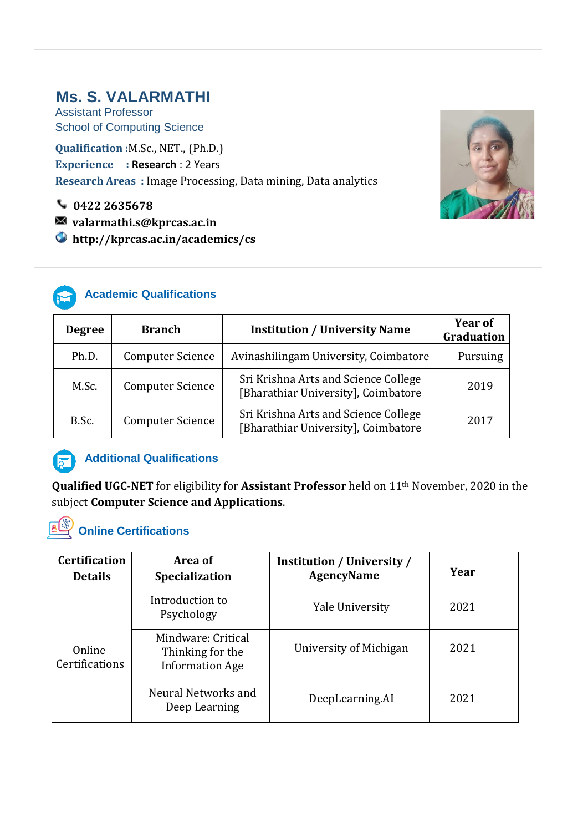# **Ms. S. VALARMATHI**

Assistant Professor School of Computing Science

**Qualification :**M.Sc., NET., (Ph.D.) **Experience : Research** : 2 Years **Research Areas :** Image Processing, Data mining, Data analytics

**0422 2635678**

**valarmathi.s@kprcas.ac.in**

 **http://kprcas.ac.in/academics/cs**



## **Academic Qualifications**

| <b>Degree</b> | <b>Branch</b>           | <b>Institution / University Name</b>                                        | <b>Year of</b><br>Graduation |
|---------------|-------------------------|-----------------------------------------------------------------------------|------------------------------|
| Ph.D.         | <b>Computer Science</b> | Avinashilingam University, Coimbatore                                       | Pursuing                     |
| M.Sc.         | <b>Computer Science</b> | Sri Krishna Arts and Science College<br>[Bharathiar University], Coimbatore | 2019                         |
| B.Sc.         | <b>Computer Science</b> | Sri Krishna Arts and Science College<br>[Bharathiar University], Coimbatore | 2017                         |



## *F* Additional Qualifications

**Qualified UGC-NET** for eligibility for **Assistant Professor** held on 11th November, 2020 in the subject **Computer Science and Applications**.

# **Online Certifications**

| <b>Certification</b><br><b>Details</b> | Area of<br><b>Specialization</b>                                 | <b>Institution / University /</b><br><b>AgencyName</b> | Year |
|----------------------------------------|------------------------------------------------------------------|--------------------------------------------------------|------|
| Online<br>Certifications               | Introduction to<br>Psychology                                    | Yale University                                        | 2021 |
|                                        | Mindware: Critical<br>Thinking for the<br><b>Information Age</b> | University of Michigan                                 | 2021 |
|                                        | Neural Networks and<br>Deep Learning                             | DeepLearning.AI                                        | 2021 |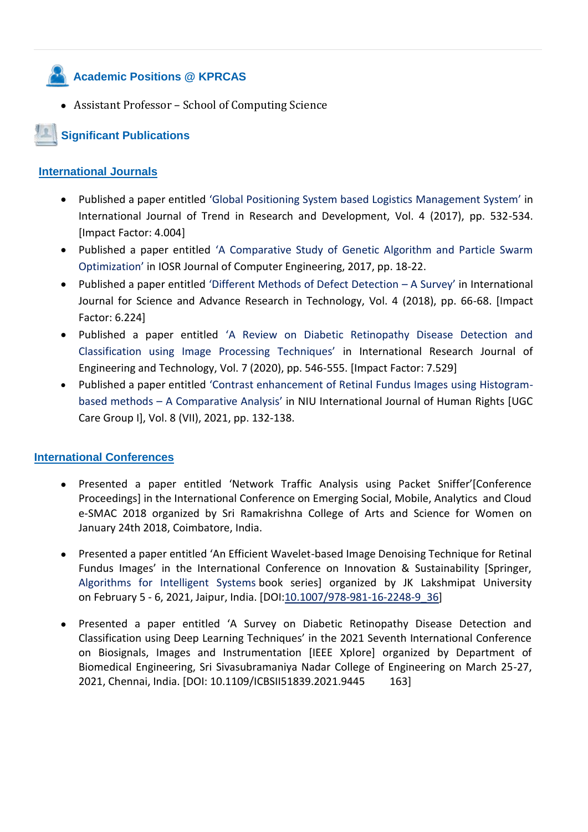# **Academic Positions @ KPRCAS**

Assistant Professor – School of Computing Science

# **Significant Publications**

#### **International Journals**

- Published a paper entitled 'Global Positioning System based Logistics Management System' in International Journal of Trend in Research and Development, Vol. 4 (2017), pp. 532-534. [Impact Factor: 4.004]
- Published a paper entitled 'A Comparative Study of Genetic Algorithm and Particle Swarm Optimization' in IOSR Journal of Computer Engineering, 2017, pp. 18-22.
- Published a paper entitled 'Different Methods of Defect Detection A Survey' in International Journal for Science and Advance Research in Technology, Vol. 4 (2018), pp. 66-68. [Impact Factor: 6.224]
- Published a paper entitled 'A Review on Diabetic Retinopathy Disease Detection and Classification using Image Processing Techniques' in International Research Journal of Engineering and Technology, Vol. 7 (2020), pp. 546-555. [Impact Factor: 7.529]
- Published a paper entitled 'Contrast enhancement of Retinal Fundus Images using Histogrambased methods – A Comparative Analysis' in NIU International Journal of Human Rights [UGC Care Group I], Vol. 8 (VII), 2021, pp. 132-138.

#### **International Conferences**

- Presented a paper entitled 'Network Traffic Analysis using Packet Sniffer'[Conference Proceedings] in the International Conference on Emerging Social, Mobile, Analytics and Cloud e-SMAC 2018 organized by Sri Ramakrishna College of Arts and Science for Women on January 24th 2018, Coimbatore, India.
- Presented a paper entitled 'An Efficient Wavelet-based Image Denoising Technique for Retinal Fundus Images' in the International Conference on Innovation & Sustainability [Springer, [Algorithms for Intelligent Systems](https://link.springer.com/bookseries/16171) book series] organized by JK Lakshmipat University on February 5 - 6, 2021, Jaipur, India. [DOI[:10.1007/978-981-16-2248-9\\_36\]](http://dx.doi.org/10.1007/978-981-16-2248-9_36)
- Presented a paper entitled 'A Survey on Diabetic Retinopathy Disease Detection and Classification using Deep Learning Techniques' in the 2021 Seventh International Conference on Biosignals, Images and Instrumentation [IEEE Xplore] organized by Department of Biomedical Engineering, Sri Sivasubramaniya Nadar College of Engineering on March 25-27, 2021, Chennai, India. [DOI: 10.1109/ICBSII51839.2021.9445 163]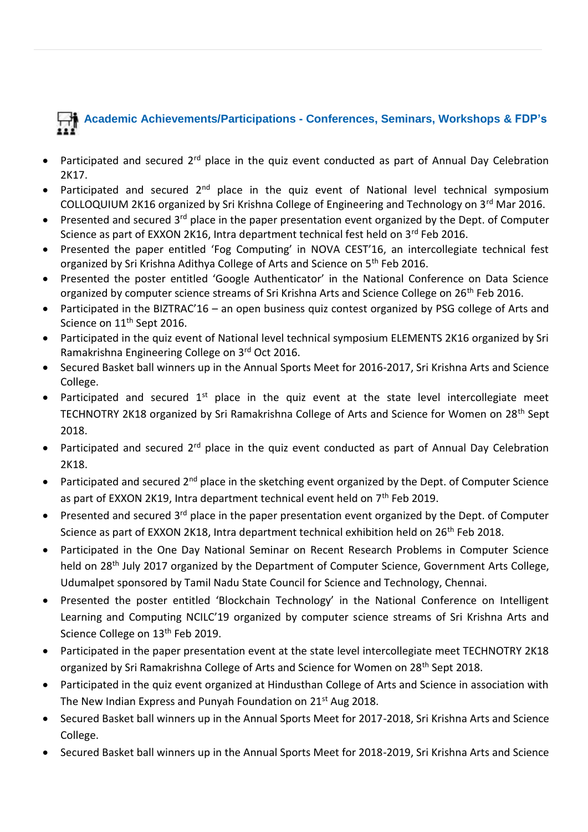# **Academic Achievements/Participations - Conferences, Seminars, Workshops & FDP's**

- Participated and secured 2<sup>rd</sup> place in the quiz event conducted as part of Annual Day Celebration 2K17.
- Participated and secured  $2^{nd}$  place in the quiz event of National level technical symposium COLLOQUIUM 2K16 organized by Sri Krishna College of Engineering and Technology on 3rd Mar 2016.
- Presented and secured 3<sup>rd</sup> place in the paper presentation event organized by the Dept. of Computer Science as part of EXXON 2K16, Intra department technical fest held on 3<sup>rd</sup> Feb 2016.
- Presented the paper entitled 'Fog Computing' in NOVA CEST'16, an intercollegiate technical fest organized by Sri Krishna Adithya College of Arts and Science on 5<sup>th</sup> Feb 2016.
- Presented the poster entitled 'Google Authenticator' in the National Conference on Data Science organized by computer science streams of Sri Krishna Arts and Science College on 26<sup>th</sup> Feb 2016.
- Participated in the BIZTRAC'16 an open business quiz contest organized by PSG college of Arts and Science on 11<sup>th</sup> Sept 2016.
- Participated in the quiz event of National level technical symposium ELEMENTS 2K16 organized by Sri Ramakrishna Engineering College on 3rd Oct 2016.
- Secured Basket ball winners up in the Annual Sports Meet for 2016-2017, Sri Krishna Arts and Science College.
- Participated and secured  $1^{st}$  place in the quiz event at the state level intercollegiate meet TECHNOTRY 2K18 organized by Sri Ramakrishna College of Arts and Science for Women on 28<sup>th</sup> Sept 2018.
- Participated and secured 2<sup>rd</sup> place in the quiz event conducted as part of Annual Day Celebration 2K18.
- **•** Participated and secured  $2^{nd}$  place in the sketching event organized by the Dept. of Computer Science as part of EXXON 2K19, Intra department technical event held on  $7<sup>th</sup>$  Feb 2019.
- **Presented and secured 3<sup>rd</sup> place in the paper presentation event organized by the Dept. of Computer** Science as part of EXXON 2K18, Intra department technical exhibition held on 26<sup>th</sup> Feb 2018.
- Participated in the One Day National Seminar on Recent Research Problems in Computer Science held on 28<sup>th</sup> July 2017 organized by the Department of Computer Science, Government Arts College, Udumalpet sponsored by Tamil Nadu State Council for Science and Technology, Chennai.
- Presented the poster entitled 'Blockchain Technology' in the National Conference on Intelligent Learning and Computing NCILC'19 organized by computer science streams of Sri Krishna Arts and Science College on 13<sup>th</sup> Feb 2019.
- Participated in the paper presentation event at the state level intercollegiate meet TECHNOTRY 2K18 organized by Sri Ramakrishna College of Arts and Science for Women on 28th Sept 2018.
- Participated in the quiz event organized at Hindusthan College of Arts and Science in association with The New Indian Express and Punyah Foundation on 21<sup>st</sup> Aug 2018.
- Secured Basket ball winners up in the Annual Sports Meet for 2017-2018, Sri Krishna Arts and Science College.
- Secured Basket ball winners up in the Annual Sports Meet for 2018-2019, Sri Krishna Arts and Science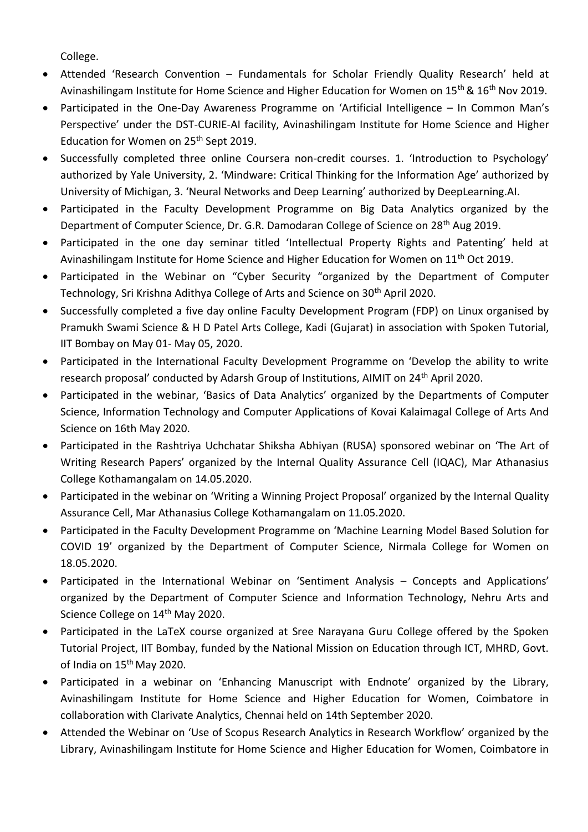College.

- Attended 'Research Convention Fundamentals for Scholar Friendly Quality Research' held at Avinashilingam Institute for Home Science and Higher Education for Women on 15<sup>th</sup> & 16<sup>th</sup> Nov 2019.
- Participated in the One-Day Awareness Programme on 'Artificial Intelligence In Common Man's Perspective' under the DST-CURIE-AI facility, Avinashilingam Institute for Home Science and Higher Education for Women on 25<sup>th</sup> Sept 2019.
- Successfully completed three online Coursera non-credit courses. 1. 'Introduction to Psychology' authorized by Yale University, 2. 'Mindware: Critical Thinking for the Information Age' authorized by University of Michigan, 3. 'Neural Networks and Deep Learning' authorized by DeepLearning.AI.
- Participated in the Faculty Development Programme on Big Data Analytics organized by the Department of Computer Science, Dr. G.R. Damodaran College of Science on 28<sup>th</sup> Aug 2019.
- Participated in the one day seminar titled 'Intellectual Property Rights and Patenting' held at Avinashilingam Institute for Home Science and Higher Education for Women on 11<sup>th</sup> Oct 2019.
- Participated in the Webinar on "Cyber Security "organized by the Department of Computer Technology, Sri Krishna Adithya College of Arts and Science on 30<sup>th</sup> April 2020.
- Successfully completed a five day online Faculty Development Program (FDP) on Linux organised by Pramukh Swami Science & H D Patel Arts College, Kadi (Gujarat) in association with Spoken Tutorial, IIT Bombay on May 01- May 05, 2020.
- Participated in the International Faculty Development Programme on 'Develop the ability to write research proposal' conducted by Adarsh Group of Institutions, AIMIT on 24<sup>th</sup> April 2020.
- Participated in the webinar, 'Basics of Data Analytics' organized by the Departments of Computer Science, Information Technology and Computer Applications of Kovai Kalaimagal College of Arts And Science on 16th May 2020.
- Participated in the Rashtriya Uchchatar Shiksha Abhiyan (RUSA) sponsored webinar on 'The Art of Writing Research Papers' organized by the Internal Quality Assurance Cell (IQAC), Mar Athanasius College Kothamangalam on 14.05.2020.
- Participated in the webinar on 'Writing a Winning Project Proposal' organized by the Internal Quality Assurance Cell, Mar Athanasius College Kothamangalam on 11.05.2020.
- Participated in the Faculty Development Programme on 'Machine Learning Model Based Solution for COVID 19' organized by the Department of Computer Science, Nirmala College for Women on 18.05.2020.
- Participated in the International Webinar on 'Sentiment Analysis Concepts and Applications' organized by the Department of Computer Science and Information Technology, Nehru Arts and Science College on 14<sup>th</sup> May 2020.
- Participated in the LaTeX course organized at Sree Narayana Guru College offered by the Spoken Tutorial Project, IIT Bombay, funded by the National Mission on Education through ICT, MHRD, Govt. of India on 15<sup>th</sup> May 2020.
- Participated in a webinar on 'Enhancing Manuscript with Endnote' organized by the Library, Avinashilingam Institute for Home Science and Higher Education for Women, Coimbatore in collaboration with Clarivate Analytics, Chennai held on 14th September 2020.
- Attended the Webinar on 'Use of Scopus Research Analytics in Research Workflow' organized by the Library, Avinashilingam Institute for Home Science and Higher Education for Women, Coimbatore in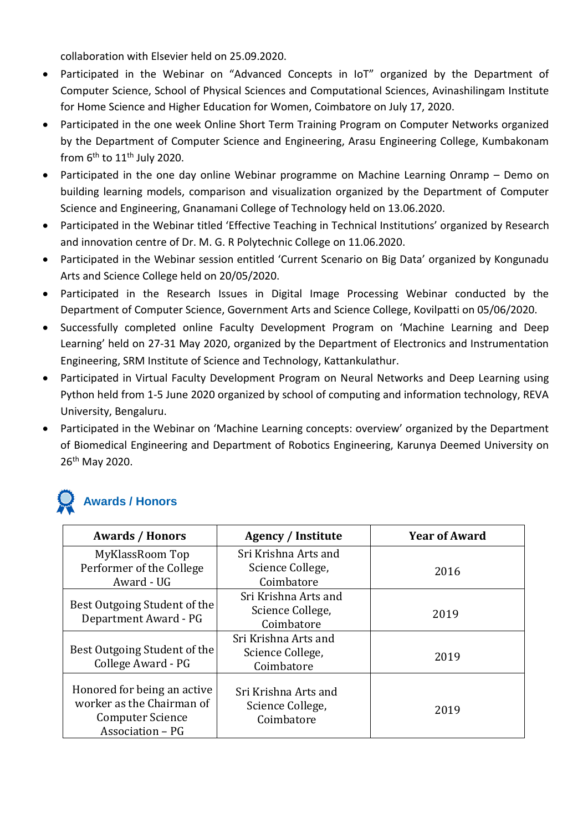collaboration with Elsevier held on 25.09.2020.

- Participated in the Webinar on "Advanced Concepts in IoT" organized by the Department of Computer Science, School of Physical Sciences and Computational Sciences, Avinashilingam Institute for Home Science and Higher Education for Women, Coimbatore on July 17, 2020.
- Participated in the one week Online Short Term Training Program on Computer Networks organized by the Department of Computer Science and Engineering, Arasu Engineering College, Kumbakonam from  $6<sup>th</sup>$  to  $11<sup>th</sup>$  July 2020.
- Participated in the one day online Webinar programme on Machine Learning Onramp Demo on building learning models, comparison and visualization organized by the Department of Computer Science and Engineering, Gnanamani College of Technology held on 13.06.2020.
- Participated in the Webinar titled 'Effective Teaching in Technical Institutions' organized by Research and innovation centre of Dr. M. G. R Polytechnic College on 11.06.2020.
- Participated in the Webinar session entitled 'Current Scenario on Big Data' organized by Kongunadu Arts and Science College held on 20/05/2020.
- Participated in the Research Issues in Digital Image Processing Webinar conducted by the Department of Computer Science, Government Arts and Science College, Kovilpatti on 05/06/2020.
- Successfully completed online Faculty Development Program on 'Machine Learning and Deep Learning' held on 27-31 May 2020, organized by the Department of Electronics and Instrumentation Engineering, SRM Institute of Science and Technology, Kattankulathur.
- Participated in Virtual Faculty Development Program on Neural Networks and Deep Learning using Python held from 1-5 June 2020 organized by school of computing and information technology, REVA University, Bengaluru.
- Participated in the Webinar on 'Machine Learning concepts: overview' organized by the Department of Biomedical Engineering and Department of Robotics Engineering, Karunya Deemed University on 26th May 2020.

# **Awards / Honors**

| <b>Awards / Honors</b>                                                                                  | Agency / Institute                                     | <b>Year of Award</b> |
|---------------------------------------------------------------------------------------------------------|--------------------------------------------------------|----------------------|
| MyKlassRoom Top                                                                                         | Sri Krishna Arts and                                   |                      |
| Performer of the College                                                                                | Science College,                                       | 2016                 |
| Award - UG                                                                                              | Coimbatore                                             |                      |
|                                                                                                         | Sri Krishna Arts and                                   |                      |
| Best Outgoing Student of the                                                                            | Science College,                                       | 2019                 |
| Department Award - PG                                                                                   | Coimbatore                                             |                      |
| Best Outgoing Student of the                                                                            | Sri Krishna Arts and                                   |                      |
| College Award - PG                                                                                      | Science College,                                       | 2019                 |
|                                                                                                         | Coimbatore                                             |                      |
| Honored for being an active<br>worker as the Chairman of<br><b>Computer Science</b><br>Association - PG | Sri Krishna Arts and<br>Science College,<br>Coimbatore | 2019                 |